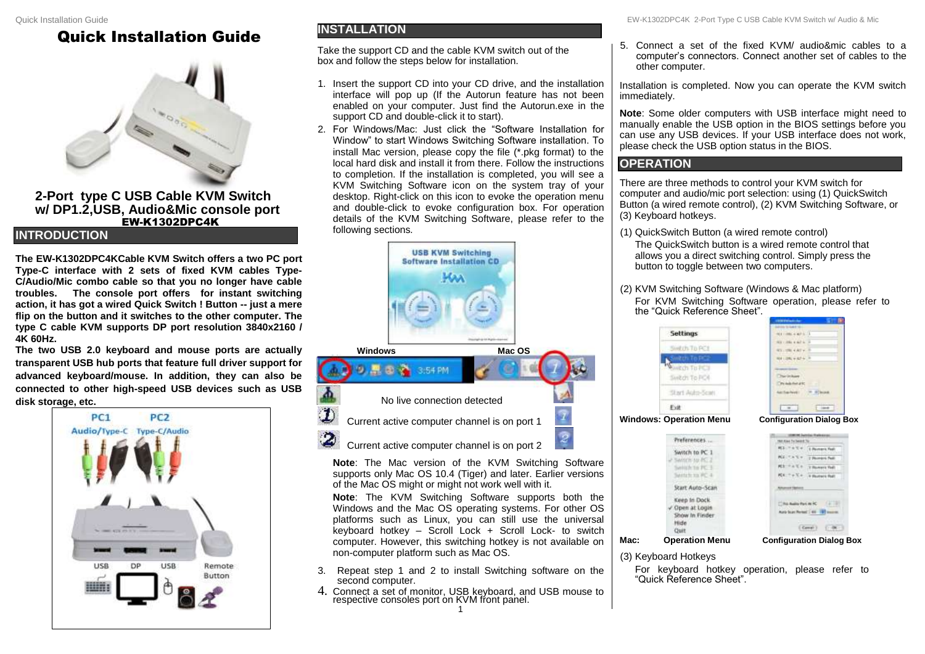## Quick Installation Guide



**2-Port type C USB Cable KVM Switch w/ DP1.2,USB, Audio&Mic console port** EW-K1302DPC4K

#### **INTRODUCTION**

**The EW-K1302DPC4KCable KVM Switch offers a two PC port Type-C interface with 2 sets of fixed KVM cables Type-C/Audio/Mic combo cable so that you no longer have cable troubles. The console port offers for instant switching action, it has got a wired Quick Switch ! Button -- just a mere flip on the button and it switches to the other computer. The type C cable KVM supports DP port resolution 3840x2160 / 4K 60Hz.**

**The two USB 2.0 keyboard and mouse ports are actually transparent USB hub ports that feature full driver support for advanced keyboard/mouse. In addition, they can also be connected to other high-speed USB devices such as USB disk storage, etc.**



### **INSTALLATION**

Take the support CD and the cable KVM switch out of the box and follow the steps below for installation.

- 1. Insert the support CD into your CD drive, and the installation interface will pop up (If the Autorun feature has not been enabled on your computer. Just find the Autorun.exe in the support CD and double-click it to start).
- 2. For Windows/Mac: Just click the "Software Installation for Window" to start Windows Switching Software installation. To install Mac version, please copy the file (\*.pkg format) to the local hard disk and install it from there. Follow the instructions to completion. If the installation is completed, you will see a KVM Switching Software icon on the system tray of your desktop. Right-click on this icon to evoke the operation menu and double-click to evoke configuration box. For operation details of the KVM Switching Software, please refer to the following sections*.*



**Note**: The Mac version of the KVM Switching Software supports only Mac OS 10.4 (Tiger) and later. Earlier versions of the Mac OS might or might not work well with it.

**Note**: The KVM Switching Software supports both the Windows and the Mac OS operating systems. For other OS platforms such as Linux, you can still use the universal keyboard hotkey – Scroll Lock + Scroll Lock- to switch computer. However, this switching hotkey is not available on non-computer platform such as Mac OS.

- 3. Repeat step 1 and 2 to install Switching software on the second computer.
- 4. Connect a set of monitor, USB keyboard, and USB mouse to respective consoles port on KVM front panel. 1

5. Connect a set of the fixed KVM/ audio&mic cables to a computer's connectors. Connect another set of cables to the other computer.

Installation is completed. Now you can operate the KVM switch immediately.

**Note**: Some older computers with USB interface might need to manually enable the USB option in the BIOS settings before you can use any USB devices. If your USB interface does not work, please check the USB option status in the BIOS.

#### **OPERATION**

There are three methods to control your KVM switch for computer and audio/mic port selection: using (1) QuickSwitch Button (a wired remote control), (2) KVM Switching Software, or (3) Keyboard hotkeys.

- (1) QuickSwitch Button (a wired remote control) The QuickSwitch button is a wired remote control that allows you a direct switching control. Simply press the button to toggle between two computers.
- (2) KVM Switching Software (Windows & Mac platform) For KVM Switching Software operation, please refer to the "Quick Reference Sheet".



| ×<br>۰ |                         |          |
|--------|-------------------------|----------|
|        |                         | east for |
|        | <b>KELLAS</b>           | ٠        |
|        | <b>ME SAY</b>           |          |
|        |                         | O)       |
|        | $R_{\rm H}$ = $+$ $R$ = |          |
|        | z<br>ю                  |          |
|        |                         |          |
|        |                         | entrucia |
|        |                         |          |

**Mac: Operation Menu Configuration Dialog Box**

nara fazi

 $-$ 

verit Fed)

**Carl Fall** 

 $(2131)$ 

**Witness** 

 $C<sub>0</sub>$ 

(3) Keyboard Hotkeys

Ext

Switch to PC 1

Switch to PC 2

Satisficto PC 1 Senten in PC 4

Start Auto-Scar Keep In Dock

Open at Login

Out

Show In Finder Hide

For keyboard hotkey operation, please refer to "Quick Reference Sheet".